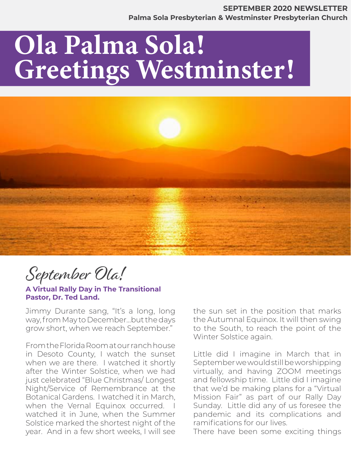# Ola Palma Sola! Greetings Westminster!



September Ola!

**A Virtual Rally Day in The Transitional Pastor, Dr. Ted Land.** 

Jimmy Durante sang, "It's a long, long way, from May to December…but the days grow short, when we reach September."

From the Florida Room at our ranch house in Desoto County, I watch the sunset when we are there. I watched it shortly after the Winter Solstice, when we had just celebrated "Blue Christmas/ Longest Night/Service of Remembrance at the Botanical Gardens. I watched it in March, when the Vernal Equinox occurred. I watched it in June, when the Summer Solstice marked the shortest night of the year. And in a few short weeks, I will see

the sun set in the position that marks the Autumnal Equinox. It will then swing to the South, to reach the point of the Winter Solstice again.

Little did I imagine in March that in September we would still be worshipping virtually, and having ZOOM meetings and fellowship time. Little did I imagine that we'd be making plans for a "Virtual Mission Fair" as part of our Rally Day Sunday. Little did any of us foresee the pandemic and its complications and ramifications for our lives.

There have been some exciting things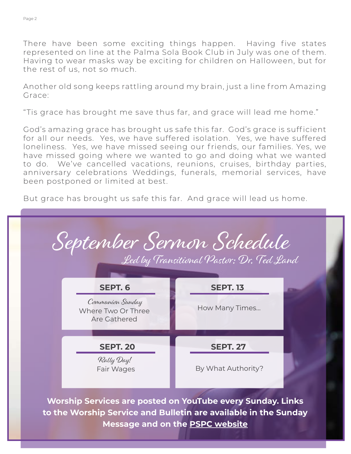There have been some exciting things happen. Having five states represented on line at the Palma Sola Book Club in July was one of them. Having to wear masks way be exciting for children on Halloween, but for the rest of us, not so much.

Another old song keeps rattling around my brain, just a line from Amazing Grace:

"Tis grace has brought me save thus far, and grace will lead me home."

God's amazing grace has brought us safe this far. God's grace is sufficient for all our needs. Yes, we have suffered isolation. Yes, we have suffered loneliness. Yes, we have missed seeing our friends, our families. Yes, we have missed going where we wanted to go and doing what we wanted to do. We've cancelled vacations, reunions, cruises, birthday parties, anniversary celebrations Weddings, funerals, memorial services, have been postponed or limited at best.

But grace has brought us safe this far. And grace will lead us home.



**Worship Services are posted on YouTube every Sunday. Links to the Worship Service and Bulletin are available in the Sunday Message and on the [PSPC website](https://www.pspchurch.org/resources/worship_online.cfm)**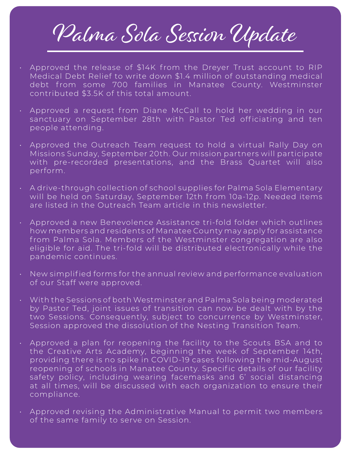# Palma Sola Session Update

- Approved the release of \$14K from the Dreyer Trust account to RIP Medical Debt Relief to write down \$1.4 million of outstanding medical debt from some 700 families in Manatee County. Westminster contributed \$3.5K of this total amount.
- Approved a request from Diane McCall to hold her wedding in our sanctuary on September 28th with Pastor Ted officiating and ten people attending.
- Approved the Outreach Team request to hold a virtual Rally Day on Missions Sunday, September 20th. Our mission partners will participate with pre-recorded presentations, and the Brass Quartet will also perform.
- A drive-through collection of school supplies for Palma Sola Elementary will be held on Saturday, September 12th from 10a-12p. Needed items are listed in the Outreach Team article in this newsletter.
- Approved a new Benevolence Assistance tri-fold folder which outlines how members and residents of Manatee County may apply for assistance from Palma Sola. Members of the Westminster congregation are also eligible for aid. The tri-fold will be distributed electronically while the pandemic continues.
- New simplified forms for the annual review and performance evaluation of our Staff were approved.
- With the Sessions of both Westminster and Palma Sola being moderated by Pastor Ted, joint issues of transition can now be dealt with by the two Sessions. Consequently, subject to concurrence by Westminster, Session approved the dissolution of the Nesting Transition Team.
- Approved a plan for reopening the facility to the Scouts BSA and to the Creative Arts Academy, beginning the week of September 14th, providing there is no spike in COVID-19 cases following the mid-August reopening of schools in Manatee County. Specific details of our facility safety policy, including wearing facemasks and 6' social distancing at all times, will be discussed with each organization to ensure their compliance.
- Approved revising the Administrative Manual to permit two members of the same family to serve on Session.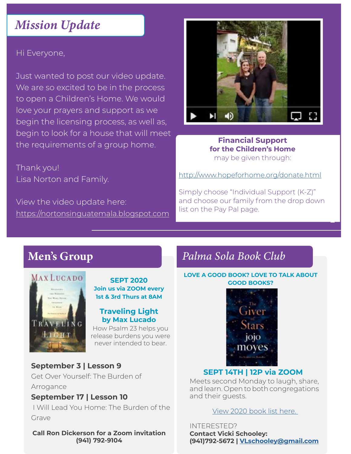# Hi Everyone,

Just wanted to post our video update. We are so excited to be in the process to open a Children's Home. We would love your prayers and support as we begin the licensing process, as well as, begin to look for a house that will meet the requirements of a group home.

Thank you! Lisa Norton and Family.

View the video update here: <https://nortonsinguatemala.blogspot.com>



### **Financial Support for the Children's Home** may be given through:

<http://www.hopeforhome.org/donate.html>

Simply choose "Individual Support (K-Z)" and choose our family from the drop down list on the Pay Pal page.



**SEPT 2020 Join us via ZOOM every 1st & 3rd Thurs at 8AM**

### **Traveling Light by Max Lucado**

How Psalm 23 helps you release burdens you were never intended to bear.

# **September 3 | Lesson 9**

Get Over Yourself: The Burden of Arrogance

# **September 17 | Lesson 10**

 I Will Lead You Home: The Burden of the Grave

**Call Ron Dickerson for a Zoom invitation (941) 792-9104**

# Men's Group *Palma Sola Book Club*

#### **LOVE A GOOD BOOK? LOVE TO TALK ABOUT GOOD BOOKS?**



# **SEPT 14TH | 12P via ZOOM**

Meets second Monday to laugh, share, and learn. Open to both congregations and their guests.

[View 2020 book list here.](https://www.pspchurch.org/editoruploads/files/Other/Palma_Sola_Book_Club_2020_List.pdf) 

INTERESTED? **Contact Vicki Schooley: (941)792-5672 | V[Lschooley@gmail.com](mailto:vlschooley%40gmail.com?subject=)**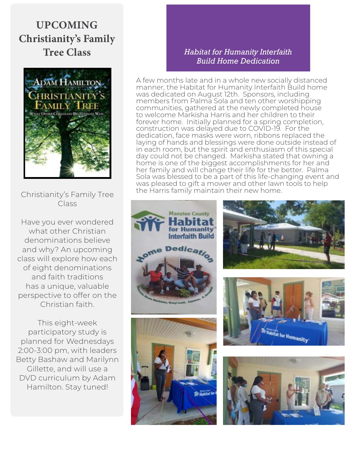# January 2020 - Green Concept Page 5 UPCOMING Christianity's Family Tree Class



Christianity's Family Tree Class

Have you ever wondered what other Christian denominations believe and why? An upcoming class will explore how each of eight denominations and faith traditions has a unique, valuable perspective to offer on the Christian faith.

This eight-week participatory study is planned for Wednesdays 2:00-3:00 pm, with leaders Betty Bashaw and Marilynn Gillette, and will use a DVD curriculum by Adam Hamilton. Stay tuned!

# *Habitat for Humanity Interfaith Build Home Dedication*

A few months late and in a whole new socially distanced manner, the Habitat for Humanity Interfaith Build home was dedicated on August 12th. Sponsors, including members from Palma Sola and ten other worshipping communities, gathered at the newly completed house to welcome Markisha Harris and her children to their forever home. Initially planned for a spring completion, construction was delayed due to COVID-19. For the dedication, face masks were worn, ribbons replaced the laying of hands and blessings were done outside instead of in each room, but the spirit and enthusiasm of this special day could not be changed. Markisha stated that owning a home is one of the biggest accomplishments for her and her family and will change their life for the better. Palma Sola was blessed to be a part of this life-changing event and was pleased to gift a mower and other lawn tools to help the Harris family maintain their new home.







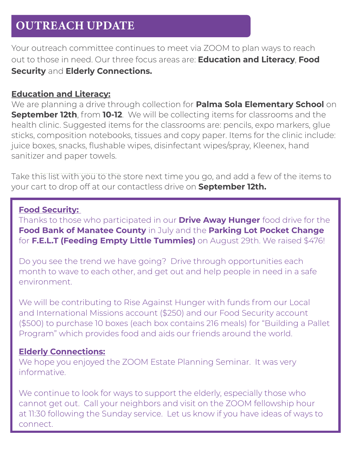#### Page 6 January 2020 - Green Concept OUTREACH UPDATE

Your outreach committee continues to meet via ZOOM to plan ways to reach out to those in need. Our three focus areas are: **Education and Literacy**, **Food Security** and **Elderly Connections.**

# **Education and Literacy:**

We are planning a drive through collection for **Palma Sola Elementary School** on **September 12th**, from **10-12**. We will be collecting items for classrooms and the health clinic. Suggested items for the classrooms are: pencils, expo markers, glue sticks, composition notebooks, tissues and copy paper. Items for the clinic include: juice boxes, snacks, flushable wipes, disinfectant wipes/spray, Kleenex, hand sanitizer and paper towels.

Take this list with you to the store next time you go, and add a few of the items to your cart to drop off at our contactless drive on **September 12th.**

# **Food Security:**

Thanks to those who participated in our **Drive Away Hunger** food drive for the **Food Bank of Manatee County** in July and the **Parking Lot Pocket Change** for **F.E.L.T (Feeding Empty Little Tummies)** on August 29th. We raised \$476!

Do you see the trend we have going? Drive through opportunities each month to wave to each other, and get out and help people in need in a safe environment.

We will be contributing to Rise Against Hunger with funds from our Local and International Missions account (\$250) and our Food Security account (\$500) to purchase 10 boxes (each box contains 216 meals) for "Building a Pallet Program" which provides food and aids our friends around the world.

# **Elderly Connections:**

We hope you enjoyed the ZOOM Estate Planning Seminar. It was very informative.

We continue to look for ways to support the elderly, especially those who cannot get out. Call your neighbors and visit on the ZOOM fellowship hour at 11:30 following the Sunday service. Let us know if you have ideas of ways to connect.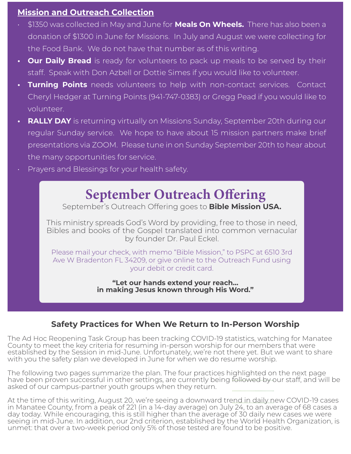# **Mission and Outreach Collection**

- . \$1350 was collected in May and June for **Meals On Wheels.** There has also been a donation of \$1300 in June for Missions. In July and August we were collecting for the Food Bank. We do not have that number as of this writing.
- **Our Daily Bread** is ready for volunteers to pack up meals to be served by their staff. Speak with Don Azbell or Dottie Simes if you would like to volunteer.
- **• Turning Points** needs volunteers to help with non-contact services. Contact Cheryl Hedger at Turning Points (941-747-0383) or Gregg Pead if you would like to volunteer.
- **• RALLY DAY** is returning virtually on Missions Sunday, September 20th during our regular Sunday service. We hope to have about 15 mission partners make brief presentations via ZOOM. Please tune in on Sunday September 20th to hear about the many opportunities for service.
- Prayers and Blessings for your health safety.

# September Outreach Offering

September's Outreach Offering goes to **Bible Mission USA.**

This ministry spreads God's Word by providing, free to those in need, Bibles and books of the Gospel translated into common vernacular by founder Dr. Paul Eckel.

Please mail your check, with memo "Bible Mission," to PSPC at 6510 3rd Ave W Bradenton FL 34209, or give online to the Outreach Fund using your debit or credit card.

> **"Let our hands extend your reach… in making Jesus known through His Word."**

# **Safety Practices for When We Return to In-Person Worship**

The Ad Hoc Reopening Task Group has been tracking COVID-19 statistics, watching for Manatee County to meet the key criteria for resuming in-person worship for our members that were established by the Session in mid-June. Unfortunately, we're not there yet. But we want to share with you the safety plan we developed in June for when we do resume worship.

The following two pages summarize the plan. The four practices highlighted on the next page have been proven successful in other settings, are currently being followed by our staff, and will be asked of our campus-partner youth groups when they return.

At the time of this writing, August 20, we're seeing a downward trend in daily new COVID-19 cases in Manatee County, from a peak of 221 (in a 14-day average) on July 24, to an average of 68 cases a day today. While encouraging, this is still higher than the average of 30 daily new cases we were seeing in mid-June. In addition, our 2nd criterion, established by the World Health Organization, is unmet: that over a two-week period only 5% of those tested are found to be positive.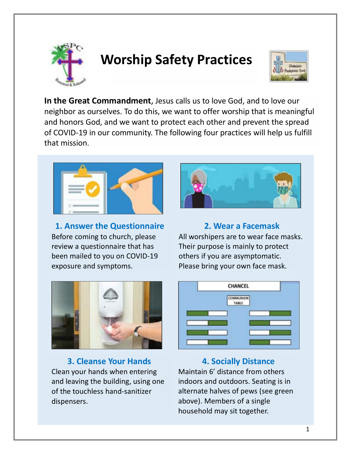

# **Worship Safety Practices**



**In the Great Commandment**, Jesus calls us to love God, and to love our neighbor as ourselves. To do this, we want to offer worship that is meaningful and honors God, and we want to protect each other and prevent the spread of COVID-19 in our community. The following four practices will help us fulfill that mission.



**1. Answer the Questionnaire** Before coming to church, please review a questionnaire that has been mailed to you on COVID-19 exposure and symptoms.



# **2. Wear a Facemask**

All worshipers are to wear face masks. Their purpose is mainly to protect others if you are asymptomatic. Please bring your own face mask.



**3. Cleanse Your Hands** Clean your hands when entering and leaving the building, using one of the touchless hand-sanitizer dispensers.



# **4. Socially Distance**

Maintain 6' distance from others indoors and outdoors. Seating is in alternate halves of pews (see green above). Members of a single household may sit together.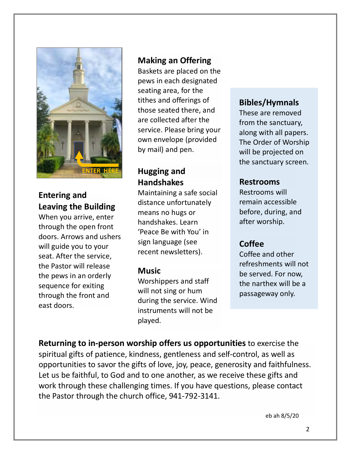

# **Entering and Leaving the Building**

When you arrive, enter through the open front doors. Arrows and ushers will guide you to your seat. After the service, the Pastor will release the pews in an orderly sequence for exiting through the front and east doors.

# **Making an Offering**

Baskets are placed on the pews in each designated seating area, for the tithes and offerings of those seated there, and are collected after the service. Please bring your own envelope (provided by mail) and pen.

# **Hugging and Handshakes**

Maintaining a safe social distance unfortunately means no hugs or handshakes. Learn 'Peace Be with You' in sign language (see recent newsletters).

# **Music**

Worshippers and staff will not sing or hum during the service. Wind instruments will not be played.

# **Bibles/Hymnals**

These are removed from the sanctuary, along with all papers. The Order of Worship will be projected on the sanctuary screen.

# **Restrooms**

Restrooms will remain accessible before, during, and after worship.

# **Coffee**

Coffee and other refreshments will not be served. For now, the narthex will be a passageway only.

**Returning to in-person worship offers us opportunities** to exercise the spiritual gifts of patience, kindness, gentleness and self-control, as well as opportunities to savor the gifts of love, joy, peace, generosity and faithfulness. Let us be faithful, to God and to one another, as we receive these gifts and work through these challenging times. If you have questions, please contact the Pastor through the church office, 941-792-3141.

eb ah 8/5/20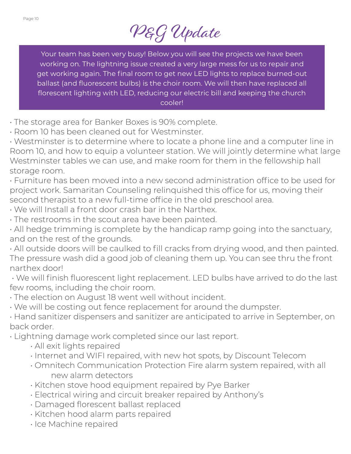

Your team has been very busy! Below you will see the projects we have been working on. The lightning issue created a very large mess for us to repair and get working again. The final room to get new LED lights to replace burned-out ballast (and fluorescent bulbs) is the choir room. We will then have replaced all florescent lighting with LED, reducing our electric bill and keeping the church cooler!

- The storage area for Banker Boxes is 90% complete.
- Room 10 has been cleaned out for Westminster.
- Westminster is to determine where to locate a phone line and a computer line in Room 10, and how to equip a volunteer station. We will jointly determine what large Westminster tables we can use, and make room for them in the fellowship hall storage room.
- Furniture has been moved into a new second administration office to be used for project work. Samaritan Counseling relinquished this office for us, moving their second therapist to a new full-time office in the old preschool area.
- We will Install a front door crash bar in the Narthex.
- The restrooms in the scout area have been painted.
- All hedge trimming is complete by the handicap ramp going into the sanctuary, and on the rest of the grounds.
- All outside doors will be caulked to fill cracks from drying wood, and then painted. The pressure wash did a good job of cleaning them up. You can see thru the front narthex door!
- We will finish fluorescent light replacement. LED bulbs have arrived to do the last few rooms, including the choir room.
- The election on August 18 went well without incident.
- We will be costing out fence replacement for around the dumpster.
- Hand sanitizer dispensers and sanitizer are anticipated to arrive in September, on back order.
- Lightning damage work completed since our last report.
	- All exit lights repaired
	- Internet and WIFI repaired, with new hot spots, by Discount Telecom
	- Omnitech Communication Protection Fire alarm system repaired, with all new alarm detectors
	- Kitchen stove hood equipment repaired by Pye Barker
	- Electrical wiring and circuit breaker repaired by Anthony's
	- Damaged florescent ballast replaced
	- Kitchen hood alarm parts repaired
	- Ice Machine repaired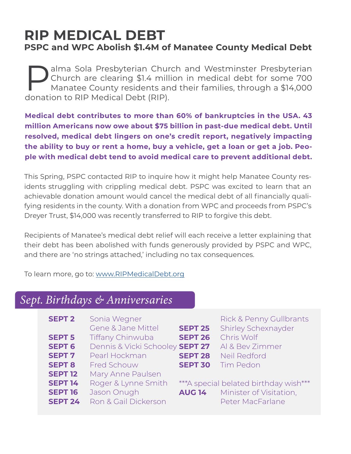# **RIP MEDICAL DEBT PSPC and WPC Abolish \$1.4M of Manatee County Medical Debt**

**Palma Sola Presbyterian Church and Westminster Presbyterian Church are clearing \$1.4 million in medical debt for some 700 Manatee County residents and their families, through a \$14,000 denotion to PIP Medical Dobt (PIP)** Church are clearing \$1.4 million in medical debt for some 700 Manatee County residents and their families, through a \$14,000 donation to RIP Medical Debt (RIP).

**Medical debt contributes to more than 60% of bankruptcies in the USA. 43 million Americans now owe about \$75 billion in past-due medical debt. Until resolved, medical debt lingers on one's credit report, negatively impacting the ability to buy or rent a home, buy a vehicle, get a loan or get a job. People with medical debt tend to avoid medical care to prevent additional debt.**

This Spring, PSPC contacted RIP to inquire how it might help Manatee County residents struggling with crippling medical debt. PSPC was excited to learn that an achievable donation amount would cancel the medical debt of all financially qualifying residents in the county. With a donation from WPC and proceeds from PSPC's Dreyer Trust, \$14,000 was recently transferred to RIP to forgive this debt.

Recipients of Manatee's medical debt relief will each receive a letter explaining that their debt has been abolished with funds generously provided by PSPC and WPC, and there are 'no strings attached,' including no tax consequences.

To learn more, go to: [www.RIPMedicalDebt.org](http://www.RIPMedicalDebt.org)

# *Sept. Birthdays & Anniversaries*

| <b>SEPT 2</b>  | Sonia Wegner                    |                | <b>Rick &amp; Penny Gullbrants</b>    |
|----------------|---------------------------------|----------------|---------------------------------------|
|                | Gene & Jane Mittel              | <b>SEPT 25</b> | Shirley Schexnayder                   |
| <b>SEPT 5</b>  | <b>Tiffany Chinwuba</b>         | <b>SEPT 26</b> | Chris Wolf                            |
| <b>SEPT 6</b>  | Dennis & Vicki Schooley SEPT 27 |                | Al & Bev Zimmer                       |
| <b>SEPT 7</b>  | Pearl Hockman                   | <b>SEPT 28</b> | Neil Redford                          |
| <b>SEPT 8</b>  | <b>Fred Schouw</b>              | <b>SEPT 30</b> | <b>Tim Pedon</b>                      |
| <b>SEPT 12</b> | Mary Anne Paulsen               |                |                                       |
| <b>SEPT 14</b> | Roger & Lynne Smith             |                | ***A special belated birthday wish*** |
| <b>SEPT 16</b> | Jason Onugh                     | <b>AUG 14</b>  | Minister of Visitation,               |
| <b>SEPT 24</b> | Ron & Gail Dickerson            |                | Peter MacFarlane                      |
|                |                                 |                |                                       |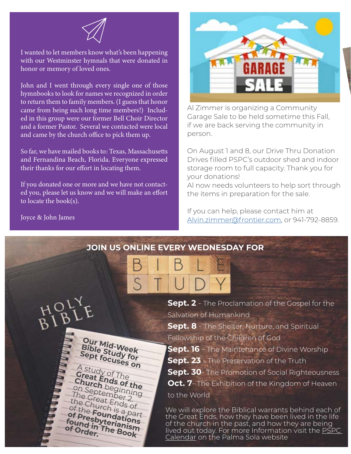

I wanted to let members know what's been happening with our Westminster hymnals that were donated in honor or memory of loved ones.

John and I went through every single one of those hymnbooks to look for names we recognized in order to return them to family members. (I guess that honor came from being such long time members!) Included in this group were our former Bell Choir Director and a former Pastor. Several we contacted were local and came by the church office to pick them up.

So far, we have mailed books to: Texas, Massachusetts and Fernandina Beach, Florida. Everyone expressed their thanks for our effort in locating them.

If you donated one or more and we have not contacted you, please let us know and we will make an effort to locate the book(s).

> **Our Mid-Week Bible Study for Sept focuses on**

A study of The **Great Ends of the<br>Church begin the** 

**Church** beginning<br>on September 2.<br>The Creat Ends of<br>the Church is a part<br>of the **Foundations** The Great Ends of the Church is a part<br>of the **Founda**: <sup>part</sup><br>of **pre-Founda:** <sup>part</sup>

of Presbyterianism **found in The Book** 

**of Order.** 



Al Zimmer is organizing a Community Garage Sale to be held sometime this Fall, if we are back serving the community in person.

On August 1 and 8, our Drive Thru Donation Drives filled PSPC's outdoor shed and indoor storage room to full capacity. Thank you for your donations!

Al now needs volunteers to help sort through the items in preparation for the sale.

If you can help, please contact him at [Alvin.zimmer@frontier.com](mailto:Alvin.zimmer@frontier.com), or 941-792-8859.

Joyce & John James

# **JOIN US ONLINE EVERY WEDNESDAY FOR**

**Sept. 2** - The Proclamation of the Gospel for the Salvation of Humankind

**Sept. 8** - The Shelter, Nurture, and Spiritual Fellowship of the Children of God

- **Sept. 16**  The Maintenance of Divine Worship
- **Sept. 23** The Preservation of the Truth

**Sept. 30**- The Promotion of Social Righteousness **Oct. 7**- The Exhibition of the Kingdom of Heaven to the World

We will explore the Biblical warrants behind each of the Great Ends, how they have been lived in the life of the church in the past, and how they are being lived out today. For more Information visit the **PSPC** [Calendar](https://www.pspchurch.org/calendar/?view=cal_view&categoryid=&month=8&year=2020#a_calendar277517) on the Palma Sola website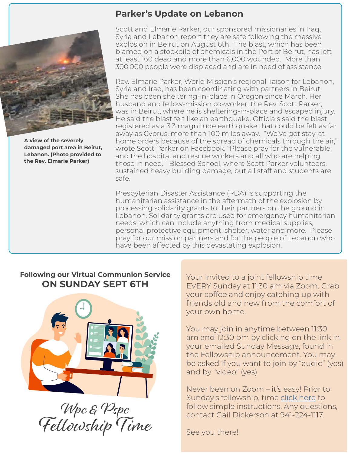

**A view of the severely damaged port area in Beirut, Lebanon. (Photo provided to the Rev. Elmarie Parker)** 

# **Parker's Update on Lebanon**

Scott and Elmarie Parker, our sponsored missionaries in Iraq, Syria and Lebanon report they are safe following the massive explosion in Beirut on August 6th. The blast, which has been blamed on a stockpile of chemicals in the Port of Beirut, has left at least 160 dead and more than 6,000 wounded. More than 300,000 people were displaced and are in need of assistance.

Rev. Elmarie Parker, World Mission's regional liaison for Lebanon, Syria and Iraq, has been coordinating with partners in Beirut. She has been sheltering-in-place in Oregon since March. Her husband and fellow-mission co-worker, the Rev. Scott Parker, was in Beirut, where he is sheltering-in-place and escaped injury. He said the blast felt like an earthquake. Officials said the blast registered as a 3.3 magnitude earthquake that could be felt as far away as Cyprus, more than 100 miles away. "We've got stay-athome orders because of the spread of chemicals through the air," wrote Scott Parker on Facebook. "Please pray for the vulnerable, and the hospital and rescue workers and all who are helping those in need." Blessed School, where Scott Parker volunteers, sustained heavy building damage, but all staff and students are safe.

Presbyterian Disaster Assistance (PDA) is supporting the humanitarian assistance in the aftermath of the explosion by processing solidarity grants to their partners on the ground in Lebanon. Solidarity grants are used for emergency humanitarian needs, which can include anything from medical supplies, personal protective equipment, shelter, water and more. Please pray for our mission partners and for the people of Lebanon who have been affected by this devastating explosion.

# **Following our Virtual Communion Service ON SUNDAY SEPT 6TH**



Wpc & Pspc Fellowship Time

Your invited to a joint fellowship time EVERY Sunday at 11:30 am via Zoom. Grab your coffee and enjoy catching up with friends old and new from the comfort of your own home.

You may join in anytime between 11:30 am and 12:30 pm by clicking on the link in your emailed Sunday Message, found in the Fellowship announcement. You may be asked if you want to join by "audio" (yes) and by "video" (yes).

Never been on Zoom – it's easy! Prior to Sunday's fellowship, time [click here](https://www.pspchurch.org/pro/responsive/tools/includes/events/event_view.cfm?detailid=277517&event_type=main&memberid=2532&eventid=2168404&categoryid=) to follow simple instructions. Any questions, contact Gail Dickerson at 941-224-1117.

See you there!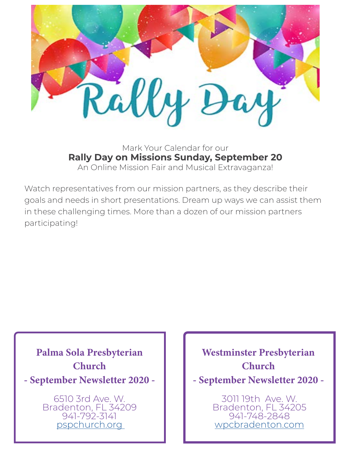

Mark Your Calendar for our **Rally Day on Missions Sunday, September 20** An Online Mission Fair and Musical Extravaganza!

Watch representatives from our mission partners, as they describe their goals and needs in short presentations. Dream up ways we can assist them in these challenging times. More than a dozen of our mission partners participating!

Palma Sola Presbyterian **Church** - September Newsletter 2020 -

> 6510 3rd Ave. W. Bradenton, FL 34209 941-792-3141 [pspchurch.org](https://www.pspchurch.org)

Westminster Presbyterian **Church** - September Newsletter 2020 -

> 3011 19th Ave. W. Bradenton, FL 34205 941-748-2848 [wpcbradenton.com](http://wpcbradenton.com)